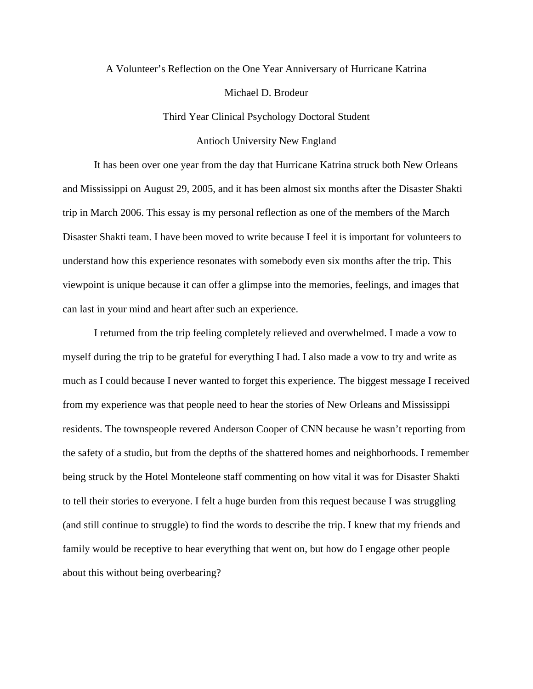## A Volunteer's Reflection on the One Year Anniversary of Hurricane Katrina Michael D. Brodeur

Third Year Clinical Psychology Doctoral Student

## Antioch University New England

 It has been over one year from the day that Hurricane Katrina struck both New Orleans and Mississippi on August 29, 2005, and it has been almost six months after the Disaster Shakti trip in March 2006. This essay is my personal reflection as one of the members of the March Disaster Shakti team. I have been moved to write because I feel it is important for volunteers to understand how this experience resonates with somebody even six months after the trip. This viewpoint is unique because it can offer a glimpse into the memories, feelings, and images that can last in your mind and heart after such an experience.

 I returned from the trip feeling completely relieved and overwhelmed. I made a vow to myself during the trip to be grateful for everything I had. I also made a vow to try and write as much as I could because I never wanted to forget this experience. The biggest message I received from my experience was that people need to hear the stories of New Orleans and Mississippi residents. The townspeople revered Anderson Cooper of CNN because he wasn't reporting from the safety of a studio, but from the depths of the shattered homes and neighborhoods. I remember being struck by the Hotel Monteleone staff commenting on how vital it was for Disaster Shakti to tell their stories to everyone. I felt a huge burden from this request because I was struggling (and still continue to struggle) to find the words to describe the trip. I knew that my friends and family would be receptive to hear everything that went on, but how do I engage other people about this without being overbearing?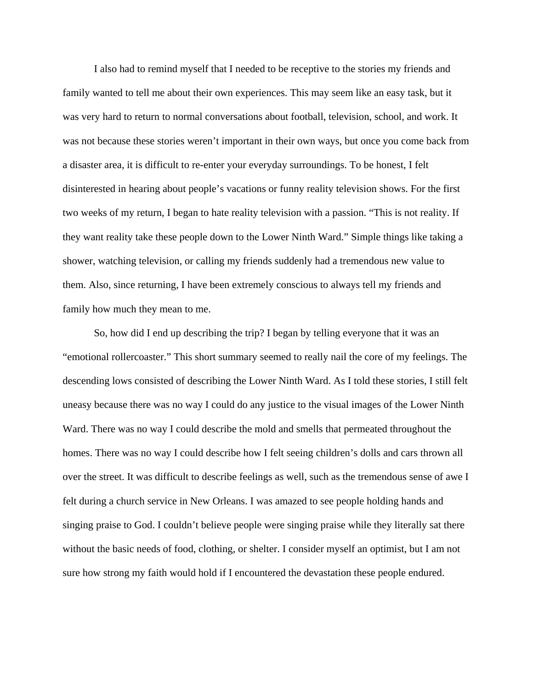I also had to remind myself that I needed to be receptive to the stories my friends and family wanted to tell me about their own experiences. This may seem like an easy task, but it was very hard to return to normal conversations about football, television, school, and work. It was not because these stories weren't important in their own ways, but once you come back from a disaster area, it is difficult to re-enter your everyday surroundings. To be honest, I felt disinterested in hearing about people's vacations or funny reality television shows. For the first two weeks of my return, I began to hate reality television with a passion. "This is not reality. If they want reality take these people down to the Lower Ninth Ward." Simple things like taking a shower, watching television, or calling my friends suddenly had a tremendous new value to them. Also, since returning, I have been extremely conscious to always tell my friends and family how much they mean to me.

 So, how did I end up describing the trip? I began by telling everyone that it was an "emotional rollercoaster." This short summary seemed to really nail the core of my feelings. The descending lows consisted of describing the Lower Ninth Ward. As I told these stories, I still felt uneasy because there was no way I could do any justice to the visual images of the Lower Ninth Ward. There was no way I could describe the mold and smells that permeated throughout the homes. There was no way I could describe how I felt seeing children's dolls and cars thrown all over the street. It was difficult to describe feelings as well, such as the tremendous sense of awe I felt during a church service in New Orleans. I was amazed to see people holding hands and singing praise to God. I couldn't believe people were singing praise while they literally sat there without the basic needs of food, clothing, or shelter. I consider myself an optimist, but I am not sure how strong my faith would hold if I encountered the devastation these people endured.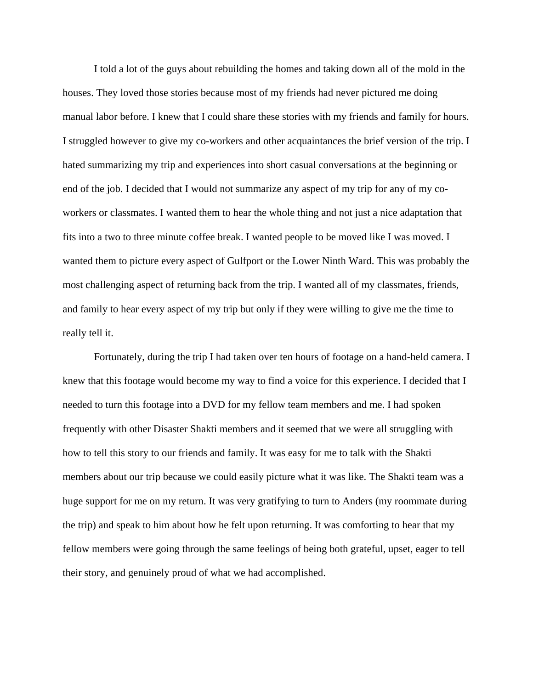I told a lot of the guys about rebuilding the homes and taking down all of the mold in the houses. They loved those stories because most of my friends had never pictured me doing manual labor before. I knew that I could share these stories with my friends and family for hours. I struggled however to give my co-workers and other acquaintances the brief version of the trip. I hated summarizing my trip and experiences into short casual conversations at the beginning or end of the job. I decided that I would not summarize any aspect of my trip for any of my coworkers or classmates. I wanted them to hear the whole thing and not just a nice adaptation that fits into a two to three minute coffee break. I wanted people to be moved like I was moved. I wanted them to picture every aspect of Gulfport or the Lower Ninth Ward. This was probably the most challenging aspect of returning back from the trip. I wanted all of my classmates, friends, and family to hear every aspect of my trip but only if they were willing to give me the time to really tell it.

 Fortunately, during the trip I had taken over ten hours of footage on a hand-held camera. I knew that this footage would become my way to find a voice for this experience. I decided that I needed to turn this footage into a DVD for my fellow team members and me. I had spoken frequently with other Disaster Shakti members and it seemed that we were all struggling with how to tell this story to our friends and family. It was easy for me to talk with the Shakti members about our trip because we could easily picture what it was like. The Shakti team was a huge support for me on my return. It was very gratifying to turn to Anders (my roommate during the trip) and speak to him about how he felt upon returning. It was comforting to hear that my fellow members were going through the same feelings of being both grateful, upset, eager to tell their story, and genuinely proud of what we had accomplished.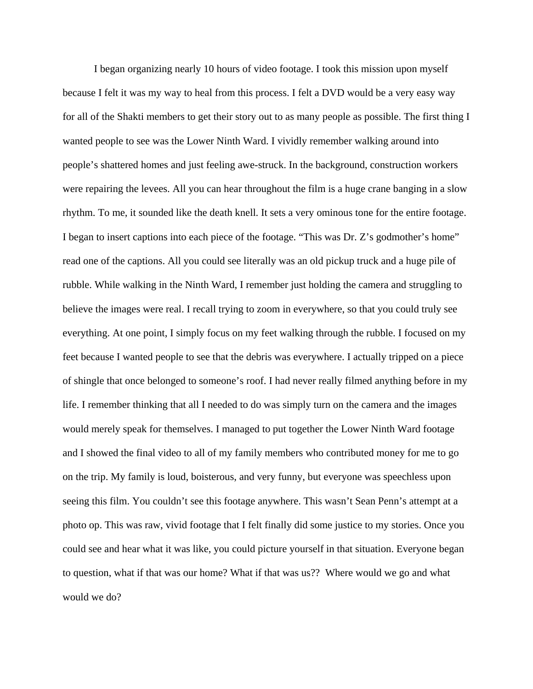I began organizing nearly 10 hours of video footage. I took this mission upon myself because I felt it was my way to heal from this process. I felt a DVD would be a very easy way for all of the Shakti members to get their story out to as many people as possible. The first thing I wanted people to see was the Lower Ninth Ward. I vividly remember walking around into people's shattered homes and just feeling awe-struck. In the background, construction workers were repairing the levees. All you can hear throughout the film is a huge crane banging in a slow rhythm. To me, it sounded like the death knell. It sets a very ominous tone for the entire footage. I began to insert captions into each piece of the footage. "This was Dr. Z's godmother's home" read one of the captions. All you could see literally was an old pickup truck and a huge pile of rubble. While walking in the Ninth Ward, I remember just holding the camera and struggling to believe the images were real. I recall trying to zoom in everywhere, so that you could truly see everything. At one point, I simply focus on my feet walking through the rubble. I focused on my feet because I wanted people to see that the debris was everywhere. I actually tripped on a piece of shingle that once belonged to someone's roof. I had never really filmed anything before in my life. I remember thinking that all I needed to do was simply turn on the camera and the images would merely speak for themselves. I managed to put together the Lower Ninth Ward footage and I showed the final video to all of my family members who contributed money for me to go on the trip. My family is loud, boisterous, and very funny, but everyone was speechless upon seeing this film. You couldn't see this footage anywhere. This wasn't Sean Penn's attempt at a photo op. This was raw, vivid footage that I felt finally did some justice to my stories. Once you could see and hear what it was like, you could picture yourself in that situation. Everyone began to question, what if that was our home? What if that was us?? Where would we go and what would we do?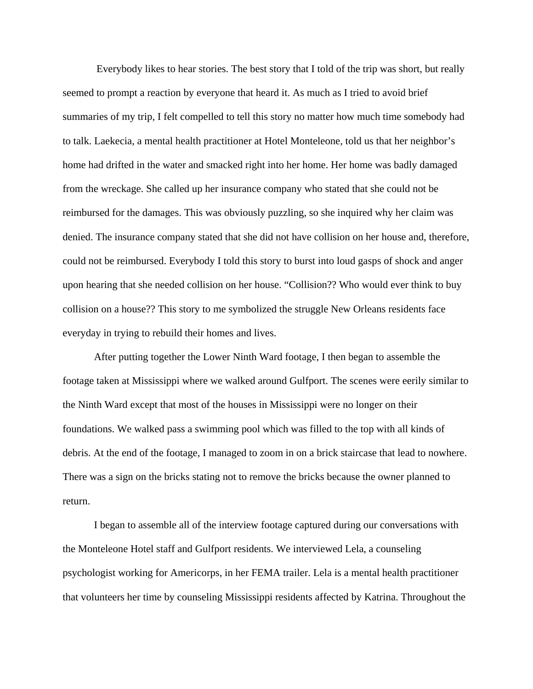Everybody likes to hear stories. The best story that I told of the trip was short, but really seemed to prompt a reaction by everyone that heard it. As much as I tried to avoid brief summaries of my trip, I felt compelled to tell this story no matter how much time somebody had to talk. Laekecia, a mental health practitioner at Hotel Monteleone, told us that her neighbor's home had drifted in the water and smacked right into her home. Her home was badly damaged from the wreckage. She called up her insurance company who stated that she could not be reimbursed for the damages. This was obviously puzzling, so she inquired why her claim was denied. The insurance company stated that she did not have collision on her house and, therefore, could not be reimbursed. Everybody I told this story to burst into loud gasps of shock and anger upon hearing that she needed collision on her house. "Collision?? Who would ever think to buy collision on a house?? This story to me symbolized the struggle New Orleans residents face everyday in trying to rebuild their homes and lives.

 After putting together the Lower Ninth Ward footage, I then began to assemble the footage taken at Mississippi where we walked around Gulfport. The scenes were eerily similar to the Ninth Ward except that most of the houses in Mississippi were no longer on their foundations. We walked pass a swimming pool which was filled to the top with all kinds of debris. At the end of the footage, I managed to zoom in on a brick staircase that lead to nowhere. There was a sign on the bricks stating not to remove the bricks because the owner planned to return.

 I began to assemble all of the interview footage captured during our conversations with the Monteleone Hotel staff and Gulfport residents. We interviewed Lela, a counseling psychologist working for Americorps, in her FEMA trailer. Lela is a mental health practitioner that volunteers her time by counseling Mississippi residents affected by Katrina. Throughout the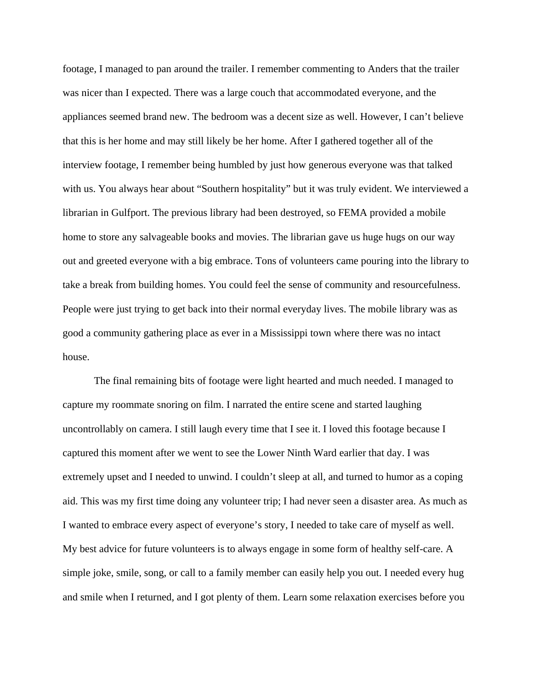footage, I managed to pan around the trailer. I remember commenting to Anders that the trailer was nicer than I expected. There was a large couch that accommodated everyone, and the appliances seemed brand new. The bedroom was a decent size as well. However, I can't believe that this is her home and may still likely be her home. After I gathered together all of the interview footage, I remember being humbled by just how generous everyone was that talked with us. You always hear about "Southern hospitality" but it was truly evident. We interviewed a librarian in Gulfport. The previous library had been destroyed, so FEMA provided a mobile home to store any salvageable books and movies. The librarian gave us huge hugs on our way out and greeted everyone with a big embrace. Tons of volunteers came pouring into the library to take a break from building homes. You could feel the sense of community and resourcefulness. People were just trying to get back into their normal everyday lives. The mobile library was as good a community gathering place as ever in a Mississippi town where there was no intact house.

 The final remaining bits of footage were light hearted and much needed. I managed to capture my roommate snoring on film. I narrated the entire scene and started laughing uncontrollably on camera. I still laugh every time that I see it. I loved this footage because I captured this moment after we went to see the Lower Ninth Ward earlier that day. I was extremely upset and I needed to unwind. I couldn't sleep at all, and turned to humor as a coping aid. This was my first time doing any volunteer trip; I had never seen a disaster area. As much as I wanted to embrace every aspect of everyone's story, I needed to take care of myself as well. My best advice for future volunteers is to always engage in some form of healthy self-care. A simple joke, smile, song, or call to a family member can easily help you out. I needed every hug and smile when I returned, and I got plenty of them. Learn some relaxation exercises before you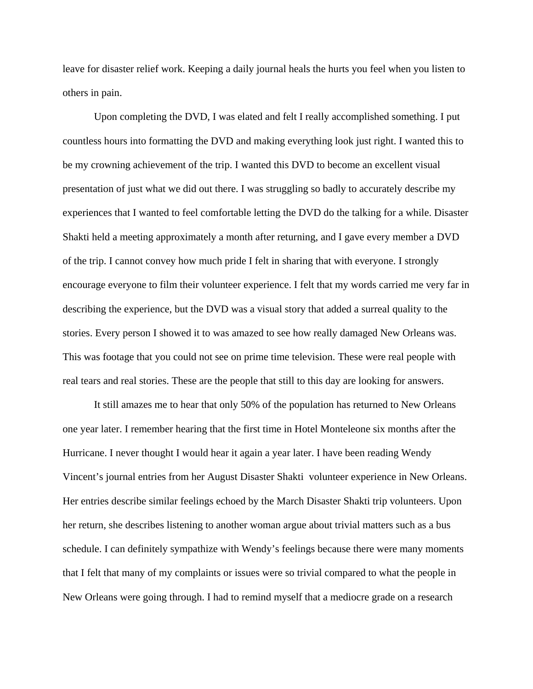leave for disaster relief work. Keeping a daily journal heals the hurts you feel when you listen to others in pain.

 Upon completing the DVD, I was elated and felt I really accomplished something. I put countless hours into formatting the DVD and making everything look just right. I wanted this to be my crowning achievement of the trip. I wanted this DVD to become an excellent visual presentation of just what we did out there. I was struggling so badly to accurately describe my experiences that I wanted to feel comfortable letting the DVD do the talking for a while. Disaster Shakti held a meeting approximately a month after returning, and I gave every member a DVD of the trip. I cannot convey how much pride I felt in sharing that with everyone. I strongly encourage everyone to film their volunteer experience. I felt that my words carried me very far in describing the experience, but the DVD was a visual story that added a surreal quality to the stories. Every person I showed it to was amazed to see how really damaged New Orleans was. This was footage that you could not see on prime time television. These were real people with real tears and real stories. These are the people that still to this day are looking for answers.

It still amazes me to hear that only 50% of the population has returned to New Orleans one year later. I remember hearing that the first time in Hotel Monteleone six months after the Hurricane. I never thought I would hear it again a year later. I have been reading Wendy Vincent's journal entries from her August Disaster Shakti volunteer experience in New Orleans. Her entries describe similar feelings echoed by the March Disaster Shakti trip volunteers. Upon her return, she describes listening to another woman argue about trivial matters such as a bus schedule. I can definitely sympathize with Wendy's feelings because there were many moments that I felt that many of my complaints or issues were so trivial compared to what the people in New Orleans were going through. I had to remind myself that a mediocre grade on a research